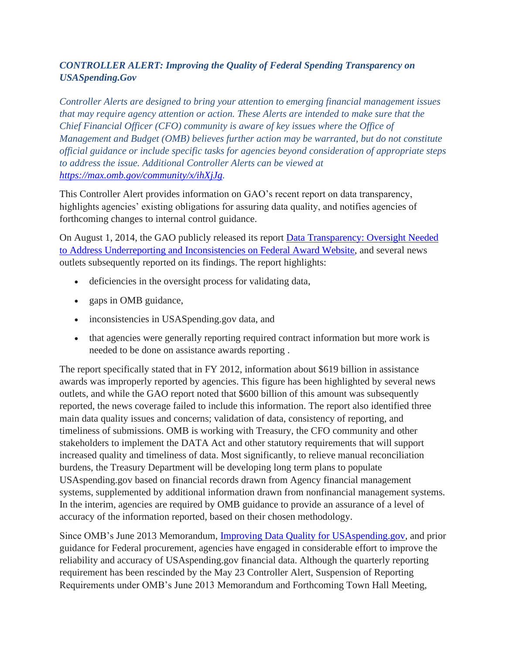## *CONTROLLER ALERT: Improving the Quality of Federal Spending Transparency on USASpending.Gov*

*Controller Alerts are designed to bring your attention to emerging financial management issues that may require agency attention or action. These Alerts are intended to make sure that the Chief Financial Officer (CFO) community is aware of key issues where the Office of Management and Budget (OMB) believes further action may be warranted, but do not constitute official guidance or include specific tasks for agencies beyond consideration of appropriate steps to address the issue. Additional Controller Alerts can be viewed at [https://max.omb.gov/community/x/ihXjJg.](https://max.omb.gov/community/x/ihXjJg)*

This Controller Alert provides information on GAO's recent report on data transparency, highlights agencies' existing obligations for assuring data quality, and notifies agencies of forthcoming changes to internal control guidance.

On August 1, 2014, the GAO publicly released its report [Data Transparency: Oversight Needed](https://www.gao.gov/products/GAO-14-476)  [to Address Underreporting and Inconsistencies on Federal Award Website,](https://www.gao.gov/products/GAO-14-476) and several news outlets subsequently reported on its findings. The report highlights:

- deficiencies in the oversight process for validating data,
- gaps in OMB guidance,
- inconsistencies in USAS pending.gov data, and
- that agencies were generally reporting required contract information but more work is needed to be done on assistance awards reporting .

The report specifically stated that in FY 2012, information about \$619 billion in assistance awards was improperly reported by agencies. This figure has been highlighted by several news outlets, and while the GAO report noted that \$600 billion of this amount was subsequently reported, the news coverage failed to include this information. The report also identified three main data quality issues and concerns; validation of data, consistency of reporting, and timeliness of submissions. OMB is working with Treasury, the CFO community and other stakeholders to implement the DATA Act and other statutory requirements that will support increased quality and timeliness of data. Most significantly, to relieve manual reconciliation burdens, the Treasury Department will be developing long term plans to populate USAspending.gov based on financial records drawn from Agency financial management systems, supplemented by additional information drawn from nonfinancial management systems. In the interim, agencies are required by OMB guidance to provide an assurance of a level of accuracy of the information reported, based on their chosen methodology.

Since OMB's June 2013 Memorandum, [Improving Data Quality for USAspending.gov,](https://www.whitehouse.gov/sites/default/files/omb/financial/memos/improving-data-quality-for-usaspending-gov.pdf) and prior guidance for Federal procurement, agencies have engaged in considerable effort to improve the reliability and accuracy of USAspending.gov financial data. Although the quarterly reporting requirement has been rescinded by the May 23 Controller Alert, Suspension of Reporting Requirements under OMB's June 2013 Memorandum and Forthcoming Town Hall Meeting,